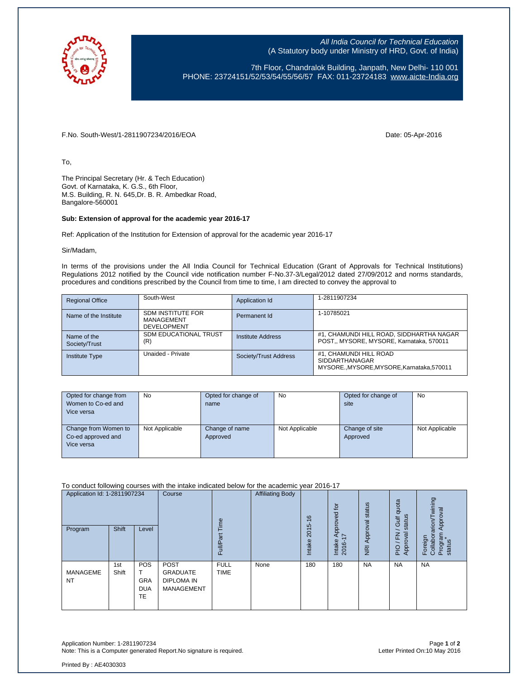

All India Council for Technical Education (A Statutory body under Ministry of HRD, Govt. of India)

7th Floor, Chandralok Building, Janpath, New Delhi- 110 001 PHONE: 23724151/52/53/54/55/56/57 FAX: 011-23724183 [www.aicte-India.org](http://www.aicte-india.org/)

F.No. South-West/1-2811907234/2016/EOA Date: 05-Apr-2016

To,

The Principal Secretary (Hr. & Tech Education) Govt. of Karnataka, K. G.S., 6th Floor, M.S. Building, R. N. 645,Dr. B. R. Ambedkar Road, Bangalore-560001

## **Sub: Extension of approval for the academic year 2016-17**

Ref: Application of the Institution for Extension of approval for the academic year 2016-17

Sir/Madam,

In terms of the provisions under the All India Council for Technical Education (Grant of Approvals for Technical Institutions) Regulations 2012 notified by the Council vide notification number F-No.37-3/Legal/2012 dated 27/09/2012 and norms standards, procedures and conditions prescribed by the Council from time to time, I am directed to convey the approval to

| <b>Regional Office</b>       | South-West                                                   | Application Id        | 1-2811907234                                                                            |
|------------------------------|--------------------------------------------------------------|-----------------------|-----------------------------------------------------------------------------------------|
| Name of the Institute        | <b>SDM INSTITUTE FOR</b><br>MANAGEMENT<br><b>DEVELOPMENT</b> | Permanent Id          | 1-10785021                                                                              |
| Name of the<br>Society/Trust | SDM EDUCATIONAL TRUST<br>(R)                                 | Institute Address     | #1, CHAMUNDI HILL ROAD, SIDDHARTHA NAGAR<br>POST., MYSORE, MYSORE, Karnataka, 570011    |
| <b>Institute Type</b>        | Unaided - Private                                            | Society/Trust Address | #1, CHAMUNDI HILL ROAD<br><b>SIDDARTHANAGAR</b><br>MYSOREMYSORE.MYSORE.Karnataka.570011 |

| Opted for change from | <b>No</b>      | Opted for change of | <b>No</b>      | Opted for change of | <b>No</b>      |
|-----------------------|----------------|---------------------|----------------|---------------------|----------------|
| Women to Co-ed and    |                | name                |                | site                |                |
| Vice versa            |                |                     |                |                     |                |
|                       |                |                     |                |                     |                |
| Change from Women to  | Not Applicable | Change of name      | Not Applicable | Change of site      | Not Applicable |
| Co-ed approved and    |                | Approved            |                | Approved            |                |
| Vice versa            |                |                     |                |                     |                |
|                       |                |                     |                |                     |                |

To conduct following courses with the intake indicated below for the academic year 2016-17

| Application Id: 1-2811907234<br>Program | Shift        | Level                                        | Course                                                            | Time<br>Full/Part          | <b>Affiliating Body</b> | $\frac{6}{5}$<br>2015<br>Intake | $\overline{c}$<br>Approved<br>$\overline{\phantom{a}}$<br>Intake<br>2016-1 | Approval status<br>$\overline{g}$ | quota<br>status<br>Gulf<br>준<br>ख़<br>PIO/F<br>Approv | wining<br>Approval<br>Foreign<br>Collaborarion/T<br>Program<br>status |
|-----------------------------------------|--------------|----------------------------------------------|-------------------------------------------------------------------|----------------------------|-------------------------|---------------------------------|----------------------------------------------------------------------------|-----------------------------------|-------------------------------------------------------|-----------------------------------------------------------------------|
| MANAGEME<br><b>NT</b>                   | 1st<br>Shift | <b>POS</b><br>GRA<br><b>DUA</b><br><b>TE</b> | POST<br><b>GRADUATE</b><br><b>DIPLOMA IN</b><br><b>MANAGEMENT</b> | <b>FULL</b><br><b>TIME</b> | None                    | 180                             | 180                                                                        | <b>NA</b>                         | <b>NA</b>                                             | <b>NA</b>                                                             |

Application Number: 1-2811907234 Page **1** of **2** Note: This is a Computer generated Report.No signature is required.